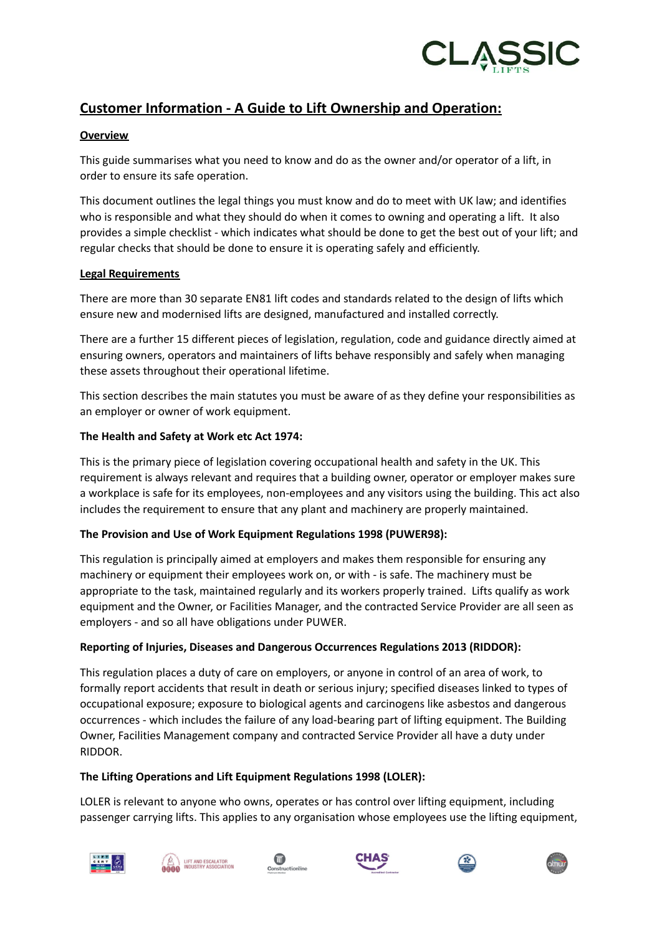

# **Customer Information - A Guide to Lift Ownership and Operation:**

## **Overview**

This guide summarises what you need to know and do as the owner and/or operator of a lift, in order to ensure its safe operation.

This document outlines the legal things you must know and do to meet with UK law; and identifies who is responsible and what they should do when it comes to owning and operating a lift. It also provides a simple checklist - which indicates what should be done to get the best out of your lift; and regular checks that should be done to ensure it is operating safely and efficiently.

## **Legal Requirements**

There are more than 30 separate EN81 lift codes and standards related to the design of lifts which ensure new and modernised lifts are designed, manufactured and installed correctly.

There are a further 15 different pieces of legislation, regulation, code and guidance directly aimed at ensuring owners, operators and maintainers of lifts behave responsibly and safely when managing these assets throughout their operational lifetime.

This section describes the main statutes you must be aware of as they define your responsibilities as an employer or owner of work equipment.

## **The Health and Safety at Work etc Act 1974:**

This is the primary piece of legislation covering occupational health and safety in the UK. This requirement is always relevant and requires that a building owner, operator or employer makes sure a workplace is safe for its employees, non-employees and any visitors using the building. This act also includes the requirement to ensure that any plant and machinery are properly maintained.

# **The Provision and Use of Work Equipment Regulations 1998 (PUWER98):**

This regulation is principally aimed at employers and makes them responsible for ensuring any machinery or equipment their employees work on, or with - is safe. The machinery must be appropriate to the task, maintained regularly and its workers properly trained. Lifts qualify as work equipment and the Owner, or Facilities Manager, and the contracted Service Provider are all seen as employers - and so all have obligations under PUWER.

# **Reporting of Injuries, Diseases and Dangerous Occurrences Regulations 2013 (RIDDOR):**

This regulation places a duty of care on employers, or anyone in control of an area of work, to formally report accidents that result in death or serious injury; specified diseases linked to types of occupational exposure; exposure to biological agents and carcinogens like asbestos and dangerous occurrences - which includes the failure of any load-bearing part of lifting equipment. The Building Owner, Facilities Management company and contracted Service Provider all have a duty under RIDDOR.

### **The Lifting Operations and Lift Equipment Regulations 1998 (LOLER):**

LOLER is relevant to anyone who owns, operates or has control over lifting equipment, including passenger carrying lifts. This applies to any organisation whose employees use the lifting equipment,











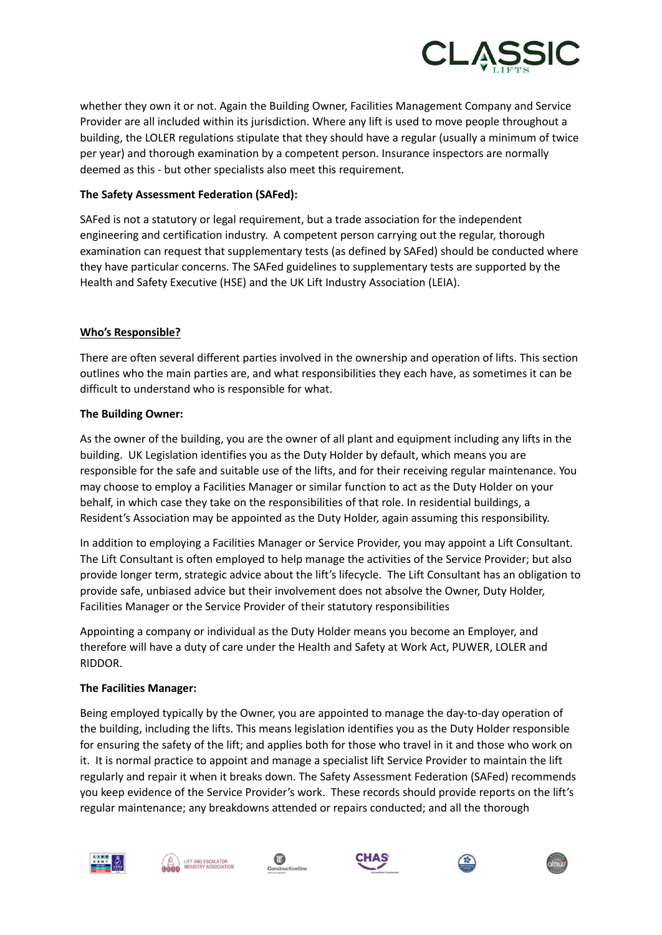

whether they own it or not. Again the Building Owner, Facilities Management Company and Service Provider are all included within its jurisdiction. Where any lift is used to move people throughout a building, the LOLER regulations stipulate that they should have a regular (usually a minimum of twice per year) and thorough examination by a competent person. Insurance inspectors are normally deemed as this - but other specialists also meet this requirement.

## **The Safety Assessment Federation (SAFed):**

SAFed is not a statutory or legal requirement, but a trade association for the independent engineering and certification industry. A competent person carrying out the regular, thorough examination can request that supplementary tests (as defined by SAFed) should be conducted where they have particular concerns. The SAFed guidelines to supplementary tests are supported by the Health and Safety Executive (HSE) and the UK Lift Industry Association (LEIA).

### **Who's Responsible?**

There are often several different parties involved in the ownership and operation of lifts. This section outlines who the main parties are, and what responsibilities they each have, as sometimes it can be difficult to understand who is responsible for what.

### **The Building Owner:**

As the owner of the building, you are the owner of all plant and equipment including any lifts in the building. UK Legislation identifies you as the Duty Holder by default, which means you are responsible for the safe and suitable use of the lifts, and for their receiving regular maintenance. You may choose to employ a Facilities Manager or similar function to act as the Duty Holder on your behalf, in which case they take on the responsibilities of that role. In residential buildings, a Resident's Association may be appointed as the Duty Holder, again assuming this responsibility.

In addition to employing a Facilities Manager or Service Provider, you may appoint a Lift Consultant. The Lift Consultant is often employed to help manage the activities of the Service Provider; but also provide longer term, strategic advice about the lift's lifecycle. The Lift Consultant has an obligation to provide safe, unbiased advice but their involvement does not absolve the Owner, Duty Holder, Facilities Manager or the Service Provider of their statutory responsibilities

Appointing a company or individual as the Duty Holder means you become an Employer, and therefore will have a duty of care under the Health and Safety at Work Act, PUWER, LOLER and RIDDOR.

### **The Facilities Manager:**

Being employed typically by the Owner, you are appointed to manage the day-to-day operation of the building, including the lifts. This means legislation identifies you as the Duty Holder responsible for ensuring the safety of the lift; and applies both for those who travel in it and those who work on it. It is normal practice to appoint and manage a specialist lift Service Provider to maintain the lift regularly and repair it when it breaks down. The Safety Assessment Federation (SAFed) recommends you keep evidence of the Service Provider's work. These records should provide reports on the lift's regular maintenance; any breakdowns attended or repairs conducted; and all the thorough











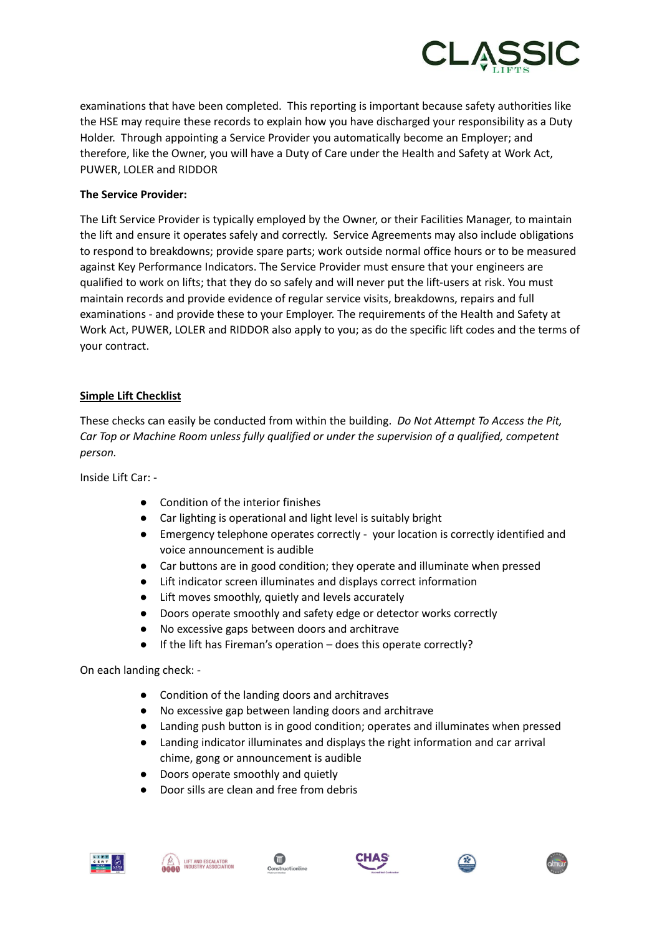

examinations that have been completed. This reporting is important because safety authorities like the HSE may require these records to explain how you have discharged your responsibility as a Duty Holder. Through appointing a Service Provider you automatically become an Employer; and therefore, like the Owner, you will have a Duty of Care under the Health and Safety at Work Act, PUWER, LOLER and RIDDOR

## **The Service Provider:**

The Lift Service Provider is typically employed by the Owner, or their Facilities Manager, to maintain the lift and ensure it operates safely and correctly. Service Agreements may also include obligations to respond to breakdowns; provide spare parts; work outside normal office hours or to be measured against Key Performance Indicators. The Service Provider must ensure that your engineers are qualified to work on lifts; that they do so safely and will never put the lift-users at risk. You must maintain records and provide evidence of regular service visits, breakdowns, repairs and full examinations - and provide these to your Employer. The requirements of the Health and Safety at Work Act, PUWER, LOLER and RIDDOR also apply to you; as do the specific lift codes and the terms of your contract.

### **Simple Lift Checklist**

These checks can easily be conducted from within the building. *Do Not Attempt To Access the Pit, Car Top or Machine Room unless fully qualified or under the supervision of a qualified, competent person.*

Inside Lift Car: -

- Condition of the interior finishes
- Car lighting is operational and light level is suitably bright
- Emergency telephone operates correctly your location is correctly identified and voice announcement is audible
- Car buttons are in good condition; they operate and illuminate when pressed
- Lift indicator screen illuminates and displays correct information
- Lift moves smoothly, quietly and levels accurately
- Doors operate smoothly and safety edge or detector works correctly
- No excessive gaps between doors and architrave
- If the lift has Fireman's operation does this operate correctly?

On each landing check: -

- Condition of the landing doors and architraves
- No excessive gap between landing doors and architrave
- Landing push button is in good condition; operates and illuminates when pressed
- Landing indicator illuminates and displays the right information and car arrival chime, gong or announcement is audible
- Doors operate smoothly and quietly
- Door sills are clean and free from debris